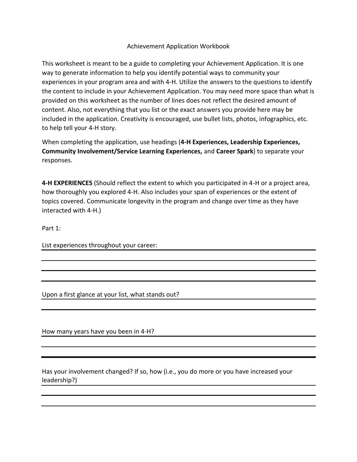# Achievement Application Workbook

This worksheet is meant to be a guide to completing your Achievement Application. It is one way to generate information to help you identify potential ways to community your experiences in your program area and with 4-H. Utilize the answers to the questions to identify the content to include in your Achievement Application. You may need more space than what is provided on this worksheet as the number of lines does not reflect the desired amount of content. Also, not everything that you list or the exact answers you provide here may be included in the application. Creativity is encouraged, use bullet lists, photos, infographics, etc. to help tell your 4-H story.

When completing the application, use headings (**4-H Experiences, Leadership Experiences, Community Involvement/Service Learning Experiences,** and **Career Spark**) to separate your responses.

**4-H EXPERIENCES** (Should reflect the extent to which you participated in 4-H or a project area, how thoroughly you explored 4-H. Also includes your span of experiences or the extent of topics covered. Communicate longevity in the program and change over time as they have interacted with 4-H.)

Part 1:

List experiences throughout your career:

Upon a first glance at your list, what stands out?

How many years have you been in 4-H?

Has your involvement changed? If so, how (i.e., you do more or you have increased your leadership?)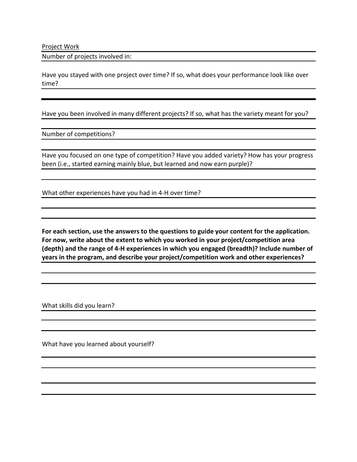Project Work

Number of projects involved in:

Have you stayed with one project over time? If so, what does your performance look like over time?

Have you been involved in many different projects? If so, what has the variety meant for you?

Number of competitions?

Have you focused on one type of competition? Have you added variety? How has your progress been (i.e., started earning mainly blue, but learned and now earn purple)?

What other experiences have you had in 4-H over time?

**For each section, use the answers to the questions to guide your content for the application. For now, write about the extent to which you worked in your project/competition area (depth) and the range of 4-H experiences in which you engaged (breadth)? Include number of years in the program, and describe your project/competition work and other experiences?** 

What skills did you learn?

What have you learned about yourself?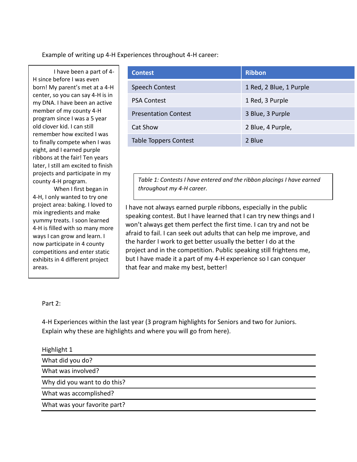Example of writing up 4-H Experiences throughout 4-H career:

I have been a part of 4- H since before I was even born! My parent's met at a 4-H center, so you can say 4-H is in my DNA. I have been an active member of my county 4-H program since I was a 5 year old clover kid. I can still remember how excited I was to finally compete when I was eight, and I earned purple ribbons at the fair! Ten years later, I still am excited to finish projects and participate in my county 4-H program.

When I first began in 4-H, I only wanted to try one project area: baking. I loved to mix ingredients and make yummy treats. I soon learned 4-H is filled with so many more ways I can grow and learn. I now participate in 4 county competitions and enter static exhibits in 4 different project areas.

| <b>Contest</b>               | <b>Ribbon</b>           |
|------------------------------|-------------------------|
| <b>Speech Contest</b>        | 1 Red, 2 Blue, 1 Purple |
| <b>PSA Contest</b>           | 1 Red, 3 Purple         |
| <b>Presentation Contest</b>  | 3 Blue, 3 Purple        |
| Cat Show                     | 2 Blue, 4 Purple,       |
| <b>Table Toppers Contest</b> | 2 Blue                  |

*Table 1: Contests I have entered and the ribbon placings I have earned throughout my 4-H career.* 

I have not always earned purple ribbons, especially in the public speaking contest. But I have learned that I can try new things and I won't always get them perfect the first time. I can try and not be afraid to fail. I can seek out adults that can help me improve, and the harder I work to get better usually the better I do at the project and in the competition. Public speaking still frightens me, but I have made it a part of my 4-H experience so I can conquer that fear and make my best, better!

# Part 2:

4-H Experiences within the last year (3 program highlights for Seniors and two for Juniors. Explain why these are highlights and where you will go from here).

| Highlight 1                  |  |
|------------------------------|--|
| What did you do?             |  |
| What was involved?           |  |
| Why did you want to do this? |  |
| What was accomplished?       |  |
| What was your favorite part? |  |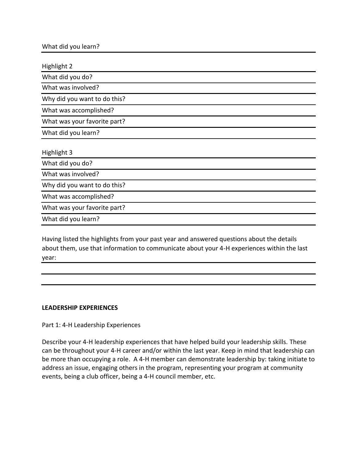| What did you learn? |  |  |
|---------------------|--|--|
|---------------------|--|--|

Highlight 2 What did you do? What was involved? Why did you want to do this? What was accomplished? What was your favorite part? What did you learn? Highlight 3 What did you do? What was involved? Why did you want to do this? What was accomplished? What was your favorite part? What did you learn?

Having listed the highlights from your past year and answered questions about the details about them, use that information to communicate about your 4-H experiences within the last year:

# **LEADERSHIP EXPERIENCES**

Part 1: 4-H Leadership Experiences

Describe your 4-H leadership experiences that have helped build your leadership skills. These can be throughout your 4-H career and/or within the last year. Keep in mind that leadership can be more than occupying a role. A 4-H member can demonstrate leadership by: taking initiate to address an issue, engaging others in the program, representing your program at community events, being a club officer, being a 4-H council member, etc.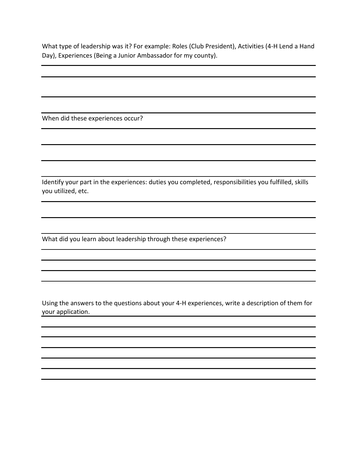What type of leadership was it? For example: Roles (Club President), Activities (4-H Lend a Hand Day), Experiences (Being a Junior Ambassador for my county).

When did these experiences occur?

Identify your part in the experiences: duties you completed, responsibilities you fulfilled, skills you utilized, etc.

What did you learn about leadership through these experiences?

Using the answers to the questions about your 4-H experiences, write a description of them for your application.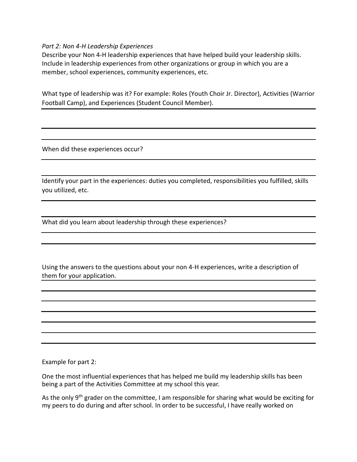# *Part 2: Non 4-H Leadership Experiences*

Describe your Non 4-H leadership experiences that have helped build your leadership skills. Include in leadership experiences from other organizations or group in which you are a member, school experiences, community experiences, etc.

What type of leadership was it? For example: Roles (Youth Choir Jr. Director), Activities (Warrior Football Camp), and Experiences (Student Council Member).

When did these experiences occur?

Identify your part in the experiences: duties you completed, responsibilities you fulfilled, skills you utilized, etc.

What did you learn about leadership through these experiences?

Using the answers to the questions about your non 4-H experiences, write a description of them for your application.

Example for part 2:

One the most influential experiences that has helped me build my leadership skills has been being a part of the Activities Committee at my school this year.

As the only 9<sup>th</sup> grader on the committee, I am responsible for sharing what would be exciting for my peers to do during and after school. In order to be successful, I have really worked on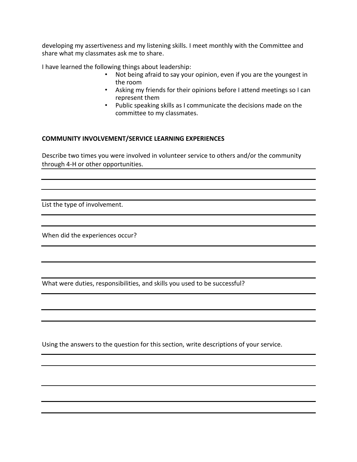developing my assertiveness and my listening skills. I meet monthly with the Committee and share what my classmates ask me to share.

I have learned the following things about leadership:

- Not being afraid to say your opinion, even if you are the youngest in the room
- Asking my friends for their opinions before I attend meetings so I can represent them
- Public speaking skills as I communicate the decisions made on the committee to my classmates.

# **COMMUNITY INVOLVEMENT/SERVICE LEARNING EXPERIENCES**

Describe two times you were involved in volunteer service to others and/or the community through 4-H or other opportunities.

List the type of involvement.

When did the experiences occur?

What were duties, responsibilities, and skills you used to be successful?

Using the answers to the question for this section, write descriptions of your service.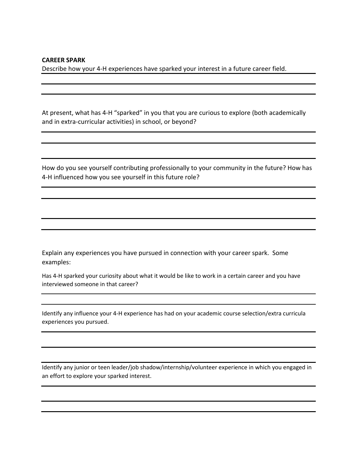#### **CAREER SPARK**

Describe how your 4-H experiences have sparked your interest in a future career field.

At present, what has 4-H "sparked" in you that you are curious to explore (both academically and in extra-curricular activities) in school, or beyond?

How do you see yourself contributing professionally to your community in the future? How has 4-H influenced how you see yourself in this future role?

Explain any experiences you have pursued in connection with your career spark. Some examples:

Has 4-H sparked your curiosity about what it would be like to work in a certain career and you have interviewed someone in that career?

Identify any influence your 4-H experience has had on your academic course selection/extra curricula experiences you pursued.

Identify any junior or teen leader/job shadow/internship/volunteer experience in which you engaged in an effort to explore your sparked interest.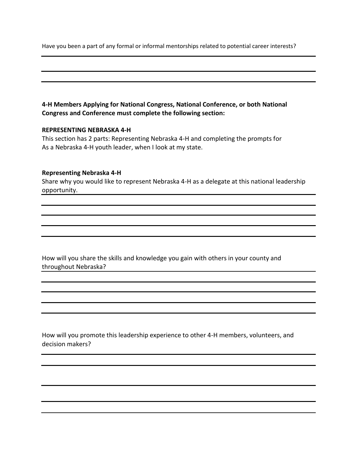Have you been a part of any formal or informal mentorships related to potential career interests?

# **4-H Members Applying for National Congress, National Conference, or both National Congress and Conference must complete the following section:**

### **REPRESENTING NEBRASKA 4-H**

This section has 2 parts: Representing Nebraska 4-H and completing the prompts for As a Nebraska 4-H youth leader, when I look at my state.

### **Representing Nebraska 4-H**

Share why you would like to represent Nebraska 4-H as a delegate at this national leadership opportunity.

How will you share the skills and knowledge you gain with others in your county and throughout Nebraska?

How will you promote this leadership experience to other 4-H members, volunteers, and decision makers?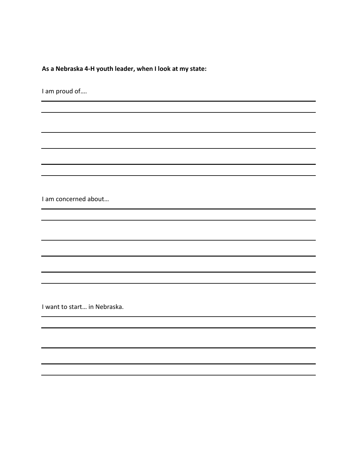**As a Nebraska 4-H youth leader, when I look at my state:** 

I am proud of….

I am concerned about…

I want to start… in Nebraska.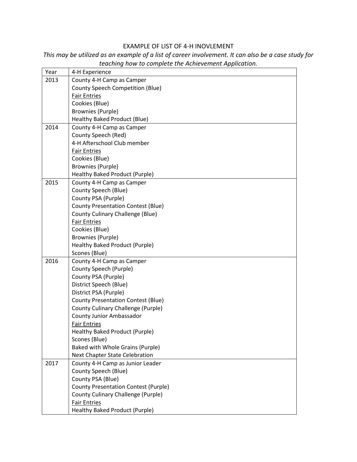# EXAMPLE OF LIST OF 4-H INOVLEMENT

| Year | 4-H Experience                                    |
|------|---------------------------------------------------|
| 2013 | County 4-H Camp as Camper                         |
|      | <b>County Speech Competition (Blue)</b>           |
|      | <b>Fair Entries</b>                               |
|      | Cookies (Blue)                                    |
|      | <b>Brownies (Purple)</b>                          |
|      | Healthy Baked Product (Blue)                      |
| 2014 | County 4-H Camp as Camper                         |
|      | County Speech (Red)                               |
|      | 4-H Afterschool Club member                       |
|      | <b>Fair Entries</b>                               |
|      | Cookies (Blue)                                    |
|      | <b>Brownies (Purple)</b>                          |
|      | Healthy Baked Product (Purple)                    |
| 2015 | County 4-H Camp as Camper                         |
|      | County Speech (Blue)                              |
|      | County PSA (Purple)                               |
|      | <b>County Presentation Contest (Blue)</b>         |
|      | <b>County Culinary Challenge (Blue)</b>           |
|      | <b>Fair Entries</b>                               |
|      | Cookies (Blue)                                    |
|      | <b>Brownies (Purple)</b>                          |
|      | Healthy Baked Product (Purple)                    |
|      | Scones (Blue)                                     |
| 2016 | County 4-H Camp as Camper                         |
|      | County Speech (Purple)                            |
|      | County PSA (Purple)                               |
|      | District Speech (Blue)                            |
|      | District PSA (Purple)                             |
|      | <b>County Presentation Contest (Blue)</b>         |
|      | County Culinary Challenge (Purple)                |
|      | County Junior Ambassador                          |
|      | <b>Fair Entries</b>                               |
|      | Healthy Baked Product (Purple)                    |
|      | Scones (Blue)<br>Baked with Whole Grains (Purple) |
|      | Next Chapter State Celebration                    |
| 2017 | County 4-H Camp as Junior Leader                  |
|      | County Speech (Blue)                              |
|      | County PSA (Blue)                                 |
|      | <b>County Presentation Contest (Purple)</b>       |
|      | <b>County Culinary Challenge (Purple)</b>         |
|      | <b>Fair Entries</b>                               |
|      | Healthy Baked Product (Purple)                    |
|      |                                                   |

*This may be utilized as an example of a list of career involvement. It can also be a case study for teaching how to complete the Achievement Application.*